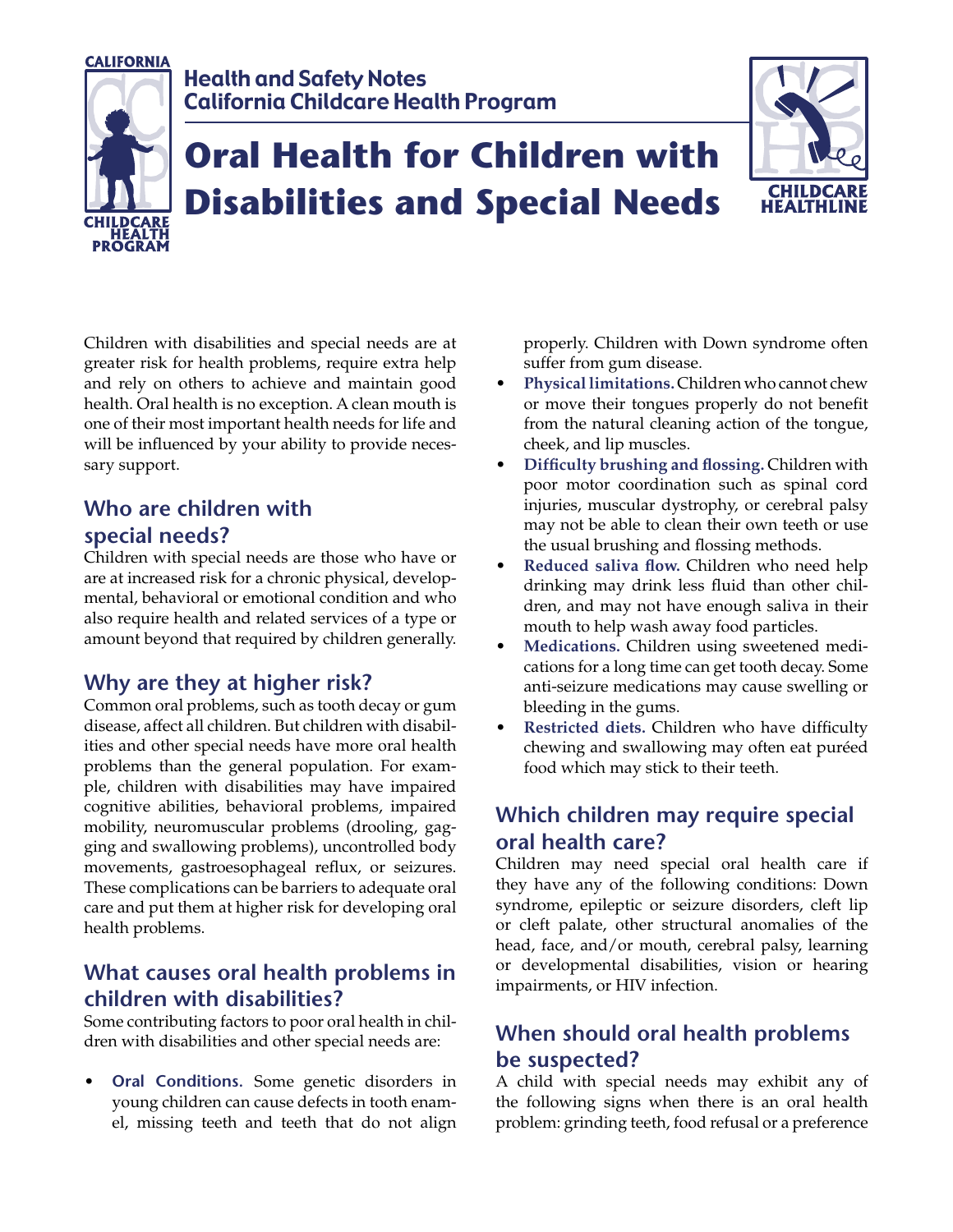

Children with disabilities and special needs are at greater risk for health problems, require extra help and rely on others to achieve and maintain good health. Oral health is no exception. A clean mouth is one of their most important health needs for life and will be influenced by your ability to provide necessary support.

### **Who are children with special needs?**

Children with special needs are those who have or are at increased risk for a chronic physical, developmental, behavioral or emotional condition and who also require health and related services of a type or amount beyond that required by children generally.

#### **Why are they at higher risk?**

Common oral problems, such as tooth decay or gum disease, affect all children. But children with disabilities and other special needs have more oral health problems than the general population. For example, children with disabilities may have impaired cognitive abilities, behavioral problems, impaired mobility, neuromuscular problems (drooling, gagging and swallowing problems), uncontrolled body movements, gastroesophageal reflux, or seizures. These complications can be barriers to adequate oral care and put them at higher risk for developing oral health problems.

#### **What causes oral health problems in children with disabilities?**

Some contributing factors to poor oral health in children with disabilities and other special needs are:

• **Oral Conditions.** Some genetic disorders in young children can cause defects in tooth enamel, missing teeth and teeth that do not align properly. Children with Down syndrome often suffer from gum disease.

- **Physical limitations.** Children who cannot chew or move their tongues properly do not benefit from the natural cleaning action of the tongue, cheek, and lip muscles.
- **Difficulty brushing and flossing.** Children with poor motor coordination such as spinal cord injuries, muscular dystrophy, or cerebral palsy may not be able to clean their own teeth or use the usual brushing and flossing methods.
- **Reduced saliva flow.** Children who need help drinking may drink less fluid than other children, and may not have enough saliva in their mouth to help wash away food particles.
- **Medications.** Children using sweetened medications for a long time can get tooth decay. Some anti-seizure medications may cause swelling or bleeding in the gums.
- **Restricted diets.** Children who have difficulty chewing and swallowing may often eat puréed food which may stick to their teeth.

## **Which children may require special oral health care?**

Children may need special oral health care if they have any of the following conditions: Down syndrome, epileptic or seizure disorders, cleft lip or cleft palate, other structural anomalies of the head, face, and/or mouth, cerebral palsy, learning or developmental disabilities, vision or hearing impairments, or HIV infection.

# **When should oral health problems be suspected?**

A child with special needs may exhibit any of the following signs when there is an oral health problem: grinding teeth, food refusal or a preference